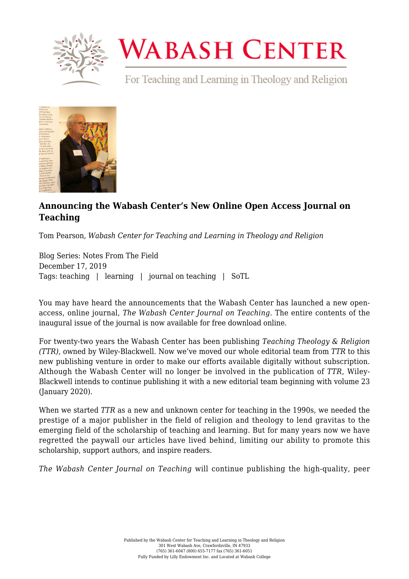

## **WABASH CENTER**

For Teaching and Learning in Theology and Religion



## **[Announcing the Wabash Center's New Online Open Access Journal on](https://www.wabashcenter.wabash.edu/2019/12/announcing-the-wabash-centers-new-online-open-access-journal-on-teaching/) [Teaching](https://www.wabashcenter.wabash.edu/2019/12/announcing-the-wabash-centers-new-online-open-access-journal-on-teaching/)**

Tom Pearson, *Wabash Center for Teaching and Learning in Theology and Religion*

Blog Series: Notes From The Field December 17, 2019 Tags: teaching | learning | journal on teaching | SoTL

You may have heard the announcements that the Wabash Center has launched a new openaccess, online journal, *[The Wabash Center Journal on Teaching](https://www.wabashcenter.wabash.edu/journal/)*. The entire [contents](https://serials.atla.com/wabashcenter/issue/view/178) of the inaugural issue of the journal is now available for free download online.

For twenty-two years the Wabash Center has been publishing *[Teaching Theology & Religion](https://onlinelibrary.wiley.com/journal/14679647) (TTR)*, owned by Wiley-Blackwell. Now we've moved our whole editorial team from *TTR* to this new publishing venture in order to make our efforts available digitally without subscription. Although the Wabash Center will no longer be involved in the publication of *TTR*, Wiley-Blackwell intends to continue publishing it with a [new editorial team](https://www.gtu.edu/news/gtu-and-wiley-partner-teaching-theology-religion-2020) beginning with volume 23 (January 2020).

When we started *TTR* as a new and unknown center for teaching in the 1990s, we needed the prestige of a major publisher in the field of religion and theology to lend gravitas to the emerging field of the scholarship of teaching and learning. But for many years now we have regretted the paywall our articles have lived behind, limiting our ability to promote this scholarship, support authors, and inspire readers.

*The Wabash Center Journal on Teaching* will continue publishing the high-quality, peer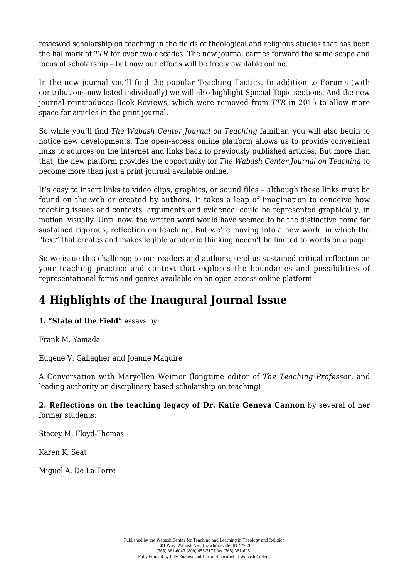reviewed scholarship on teaching in the fields of theological and religious studies that has been the hallmark of *TTR* for over two decades. The new journal carries forward the same scope and focus of scholarship – but now our efforts will be freely available online.

In the new journal you'll find the popular Teaching Tactics. In addition to Forums (with contributions now listed individually) we will also highlight Special Topic sections. And the new journal reintroduces Book Reviews, which were removed from *TTR* in 2015 to allow more space for articles in the print journal.

So while you'll find *The Wabash Center Journal on Teaching* familiar, you will also begin to notice new developments. The open-access online platform allows us to provide convenient links to sources on the internet and links back to previously published articles. But more than that, the new platform provides the opportunity for *The Wabash Center Journal on Teaching* to become more than just a print journal available online.

It's easy to insert links to video clips, graphics, or sound files – although these links must be found on the web or created by authors. It takes a leap of imagination to conceive how teaching issues and contexts, arguments and evidence, could be represented graphically, in motion, visually. Until now, the written word would have seemed to be the distinctive home for sustained rigorous, reflection on teaching. But we're moving into a new world in which the "text" that creates and makes legible academic thinking needn't be limited to words on a page.

So we issue this challenge to our readers and authors: send us sustained critical reflection on your teaching practice and context that explores the boundaries and possibilities of representational forms and genres available on an open-access online platform.

## **4 Highlights of the Inaugural Journal Issue**

**1. "State of the Field"** essays by:

[Frank M. Yamada](https://serials.atla.com/wabashcenter/article/view/1580/1738)

[Eugene V. Gallagher and Joanne Maquire](https://serials.atla.com/wabashcenter/article/view/1579/1737)

A [Conversation with Maryellen Weimer](https://serials.atla.com/wabashcenter/article/view/1581/1732) (longtime editor of *The Teaching Professor*, and leading authority on disciplinary based scholarship on teaching)

**2. Reflections on the teaching legacy of Dr. Katie Geneva Cannon** by several of her former students:

[Stacey M. Floyd-Thomas](https://serials.atla.com/wabashcenter/article/view/1585/1762)

[Karen K. Seat](https://serials.atla.com/wabashcenter/article/view/1586/1761)

[Miguel A. De La Torre](https://serials.atla.com/wabashcenter/article/view/1587/1760)